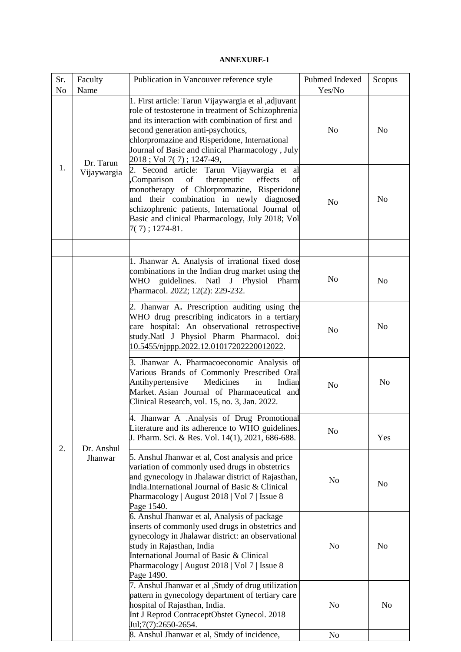## **ANNEXURE-1**

| Sr.                  | Faculty                          | Publication in Vancouver reference style                                                                                                                                                                                                                                                                                                             | Pubmed Indexed           | Scopus         |
|----------------------|----------------------------------|------------------------------------------------------------------------------------------------------------------------------------------------------------------------------------------------------------------------------------------------------------------------------------------------------------------------------------------------------|--------------------------|----------------|
| 1.                   | Name<br>Dr. Tarun<br>Vijaywargia | 1. First article: Tarun Vijaywargia et al ,adjuvant<br>role of testosterone in treatment of Schizophrenia<br>and its interaction with combination of first and<br>second generation anti-psychotics,<br>chlorpromazine and Risperidone, International<br>Journal of Basic and clinical Pharmacology, July                                            | Yes/No<br>N <sub>o</sub> | N <sub>0</sub> |
|                      |                                  | 2018 ; Vol 7( 7) ; 1247-49,<br>2. Second article: Tarun Vijaywargia et al<br>Comparison,<br>of<br>therapeutic<br>effects<br>of<br>monotherapy of Chlorpromazine, Risperidone<br>and their combination in newly diagnosed<br>schizophrenic patients, International Journal of<br>Basic and clinical Pharmacology, July 2018; Vol<br>$7(7)$ ; 1274-81. | N <sub>o</sub>           | N <sub>0</sub> |
|                      |                                  |                                                                                                                                                                                                                                                                                                                                                      |                          |                |
| N <sub>o</sub><br>2. | Dr. Anshul                       | 1. Jhanwar A. Analysis of irrational fixed dose<br>combinations in the Indian drug market using the<br>WHO guidelines. Natl J Physiol Pharm<br>Pharmacol. 2022; 12(2): 229-232.                                                                                                                                                                      | No                       | N <sub>o</sub> |
|                      |                                  | 2. Jhanwar A. Prescription auditing using the<br>WHO drug prescribing indicators in a tertiary<br>care hospital: An observational retrospective<br>study.Natl J Physiol Pharm Pharmacol. doi:<br>10.5455/njppp.2022.12.01017202220012022.                                                                                                            | N <sub>o</sub>           | N <sub>o</sub> |
|                      |                                  | 3. Jhanwar A. Pharmacoeconomic Analysis of<br>Various Brands of Commonly Prescribed Oral<br>Antihypertensive<br>Medicines<br>Indian<br>in<br>Market. Asian Journal of Pharmaceutical and<br>Clinical Research, vol. 15, no. 3, Jan. 2022.                                                                                                            | N <sub>o</sub>           | N <sub>o</sub> |
|                      |                                  | 4. Jhanwar A .Analysis of Drug Promotional<br>Literature and its adherence to WHO guidelines.<br>J. Pharm. Sci. & Res. Vol. 14(1), 2021, 686-688.                                                                                                                                                                                                    | N <sub>o</sub>           | Yes            |
|                      | Jhanwar                          | 5. Anshul Jhanwar et al, Cost analysis and price<br>variation of commonly used drugs in obstetrics<br>and gynecology in Jhalawar district of Rajasthan,<br>N <sub>0</sub><br>India.International Journal of Basic & Clinical<br>Pharmacology   August 2018   Vol 7   Issue 8<br>Page 1540.                                                           |                          | No             |
|                      |                                  | 6. Anshul Jhanwar et al, Analysis of package<br>inserts of commonly used drugs in obstetrics and<br>gynecology in Jhalawar district: an observational<br>study in Rajasthan, India<br>International Journal of Basic & Clinical<br>Pharmacology   August 2018   Vol 7   Issue 8<br>Page 1490.                                                        | No                       | N <sub>o</sub> |
|                      |                                  | 7. Anshul Jhanwar et al ,Study of drug utilization<br>pattern in gynecology department of tertiary care<br>hospital of Rajasthan, India.<br>Int J Reprod ContraceptObstet Gynecol. 2018<br>Jul;7(7):2650-2654.                                                                                                                                       | No                       | No             |
|                      |                                  | 8. Anshul Jhanwar et al, Study of incidence,                                                                                                                                                                                                                                                                                                         | No                       |                |